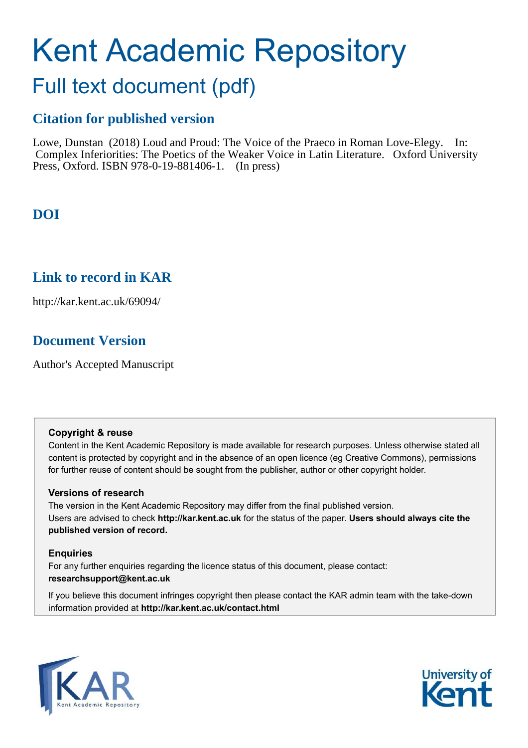# Kent Academic Repository

## Full text document (pdf)

## **Citation for published version**

Lowe, Dunstan (2018) Loud and Proud: The Voice of the Praeco in Roman Love-Elegy. In: Complex Inferiorities: The Poetics of the Weaker Voice in Latin Literature. Oxford University Press, Oxford. ISBN 978-0-19-881406-1. (In press)

## **DOI**

### **Link to record in KAR**

http://kar.kent.ac.uk/69094/

## **Document Version**

Author's Accepted Manuscript

#### **Copyright & reuse**

Content in the Kent Academic Repository is made available for research purposes. Unless otherwise stated all content is protected by copyright and in the absence of an open licence (eg Creative Commons), permissions for further reuse of content should be sought from the publisher, author or other copyright holder.

#### **Versions of research**

The version in the Kent Academic Repository may differ from the final published version. Users are advised to check **http://kar.kent.ac.uk** for the status of the paper. **Users should always cite the published version of record.**

#### **Enquiries**

For any further enquiries regarding the licence status of this document, please contact: **researchsupport@kent.ac.uk**

If you believe this document infringes copyright then please contact the KAR admin team with the take-down information provided at **http://kar.kent.ac.uk/contact.html**



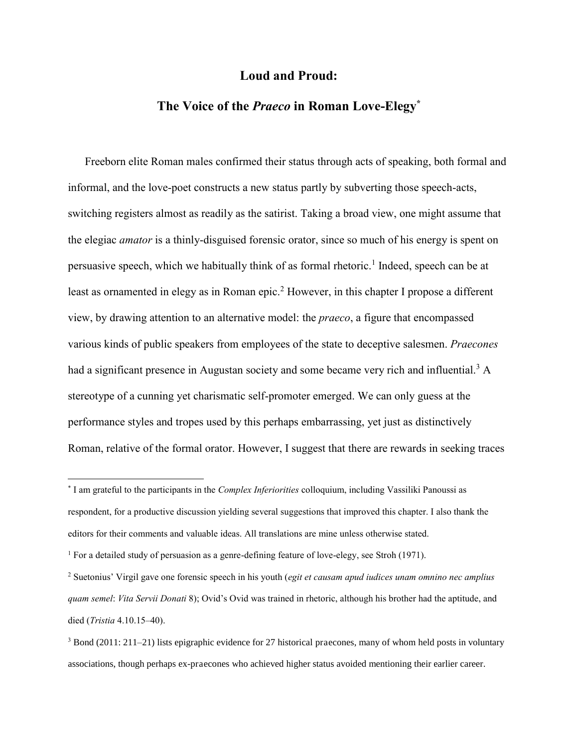#### **Loud and Proud:**

#### **The Voice of the** *Praeco* **in Roman Love-Elegy\***

Freeborn elite Roman males confirmed their status through acts of speaking, both formal and informal, and the love-poet constructs a new status partly by subverting those speech-acts, switching registers almost as readily as the satirist. Taking a broad view, one might assume that the elegiac *amator* is a thinly-disguised forensic orator, since so much of his energy is spent on persuasive speech, which we habitually think of as formal rhetoric.<sup>1</sup> Indeed, speech can be at least as ornamented in elegy as in Roman epic.<sup>2</sup> However, in this chapter I propose a different view, by drawing attention to an alternative model: the *praeco*, a figure that encompassed various kinds of public speakers from employees of the state to deceptive salesmen. *Praecones* had a significant presence in Augustan society and some became very rich and influential.<sup>3</sup> A stereotype of a cunning yet charismatic self-promoter emerged. We can only guess at the performance styles and tropes used by this perhaps embarrassing, yet just as distinctively Roman, relative of the formal orator. However, I suggest that there are rewards in seeking traces

<sup>\*</sup> I am grateful to the participants in the *Complex Inferiorities* colloquium, including Vassiliki Panoussi as respondent, for a productive discussion yielding several suggestions that improved this chapter. I also thank the editors for their comments and valuable ideas. All translations are mine unless otherwise stated.

<sup>&</sup>lt;sup>1</sup> For a detailed study of persuasion as a genre-defining feature of love-elegy, see Stroh (1971).

<sup>2</sup> Suetonius' Virgil gave one forensic speech in his youth (*egit et causam apud iudices unam omnino nec amplius quam semel*: *Vita Servii Donati* 8); Ovid's Ovid was trained in rhetoric, although his brother had the aptitude, and died (*Tristia* 4.10.15–40).

<sup>3</sup> Bond (2011: 211–21) lists epigraphic evidence for 27 historical praecones, many of whom held posts in voluntary associations, though perhaps ex-praecones who achieved higher status avoided mentioning their earlier career.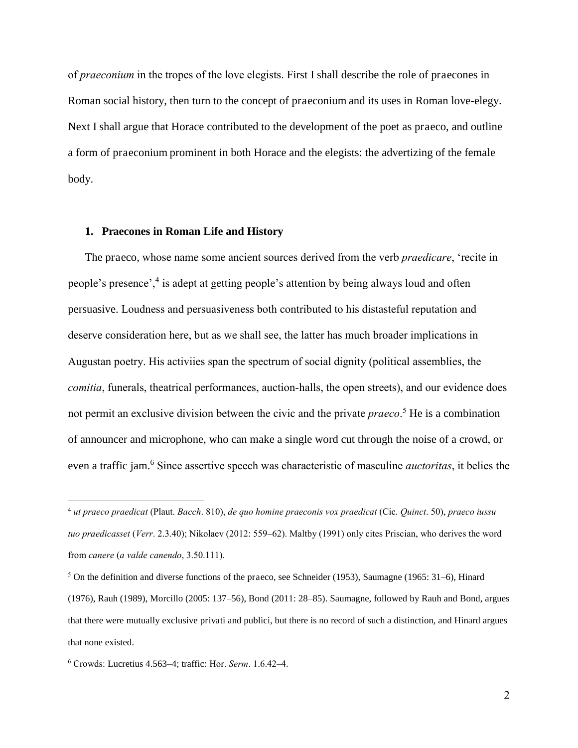of *praeconium* in the tropes of the love elegists. First I shall describe the role of praecones in Roman social history, then turn to the concept of praeconium and its uses in Roman love-elegy. Next I shall argue that Horace contributed to the development of the poet as praeco, and outline a form of praeconium prominent in both Horace and the elegists: the advertizing of the female body.

#### **1. Praecones in Roman Life and History**

The praeco, whose name some ancient sources derived from the verb *praedicare*, 'recite in people's presence',<sup>4</sup> is adept at getting people's attention by being always loud and often persuasive. Loudness and persuasiveness both contributed to his distasteful reputation and deserve consideration here, but as we shall see, the latter has much broader implications in Augustan poetry. His activiies span the spectrum of social dignity (political assemblies, the *comitia*, funerals, theatrical performances, auction-halls, the open streets), and our evidence does not permit an exclusive division between the civic and the private *praeco*. <sup>5</sup> He is a combination of announcer and microphone, who can make a single word cut through the noise of a crowd, or even a traffic jam.<sup>6</sup> Since assertive speech was characteristic of masculine *auctoritas*, it belies the

<sup>4</sup> *ut praeco praedicat* (Plaut. *Bacch*. 810), *de quo homine praeconis vox praedicat* (Cic. *Quinct*. 50), *praeco iussu tuo praedicasset* (*Verr*. 2.3.40); Nikolaev (2012: 559–62). Maltby (1991) only cites Priscian, who derives the word from *canere* (*a valde canendo*, 3.50.111).

<sup>5</sup> On the definition and diverse functions of the praeco, see Schneider (1953), Saumagne (1965: 31–6), Hinard (1976), Rauh (1989), Morcillo (2005: 137–56), Bond (2011: 28–85). Saumagne, followed by Rauh and Bond, argues that there were mutually exclusive privati and publici, but there is no record of such a distinction, and Hinard argues that none existed.

<sup>6</sup> Crowds: Lucretius 4.563–4; traffic: Hor. *Serm*. 1.6.42–4.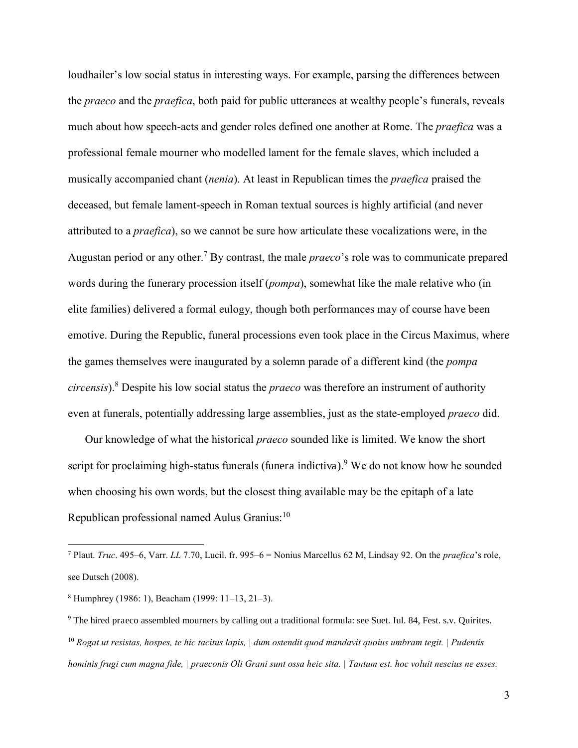loudhailer's low social status in interesting ways. For example, parsing the differences between the *praeco* and the *praefica*, both paid for public utterances at wealthy people's funerals, reveals much about how speech-acts and gender roles defined one another at Rome. The *praefica* was a professional female mourner who modelled lament for the female slaves, which included a musically accompanied chant (*nenia*). At least in Republican times the *praefica* praised the deceased, but female lament-speech in Roman textual sources is highly artificial (and never attributed to a *praefica*), so we cannot be sure how articulate these vocalizations were, in the Augustan period or any other.<sup>7</sup> By contrast, the male *praeco*'s role was to communicate prepared words during the funerary procession itself (*pompa*), somewhat like the male relative who (in elite families) delivered a formal eulogy, though both performances may of course have been emotive. During the Republic, funeral processions even took place in the Circus Maximus, where the games themselves were inaugurated by a solemn parade of a different kind (the *pompa circensis*).<sup>8</sup> Despite his low social status the *praeco* was therefore an instrument of authority even at funerals, potentially addressing large assemblies, just as the state-employed *praeco* did.

Our knowledge of what the historical *praeco* sounded like is limited. We know the short script for proclaiming high-status funerals (funera indictiva).<sup>9</sup> We do not know how he sounded when choosing his own words, but the closest thing available may be the epitaph of a late Republican professional named Aulus Granius:<sup>10</sup>

<sup>7</sup> Plaut. *Truc*. 495–6, Varr. *LL* 7.70, Lucil. fr. 995–6 = Nonius Marcellus 62 M, Lindsay 92. On the *praefica*'s role, see Dutsch (2008).

<sup>8</sup> Humphrey (1986: 1), Beacham (1999: 11–13, 21–3).

<sup>9</sup> The hired praeco assembled mourners by calling out a traditional formula: see Suet. Iul. 84, Fest. s.v. Quirites. <sup>10</sup> *Rogat ut resistas, hospes, te hic tacitus lapis, | dum ostendit quod mandavit quoius umbram tegit. | Pudentis hominis frugi cum magna fide, | praeconis Oli Grani sunt ossa heic sita. | Tantum est. hoc voluit nescius ne esses.*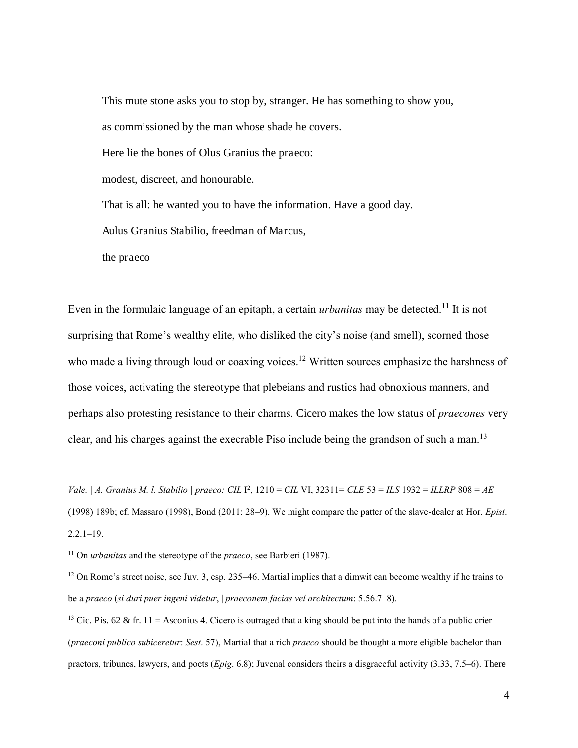This mute stone asks you to stop by, stranger. He has something to show you, as commissioned by the man whose shade he covers. Here lie the bones of Olus Granius the praeco: modest, discreet, and honourable.

That is all: he wanted you to have the information. Have a good day.

Aulus Granius Stabilio, freedman of Marcus,

the praeco

 $\overline{a}$ 

Even in the formulaic language of an epitaph, a certain *urbanitas* may be detected.<sup>11</sup> It is not surprising that Rome's wealthy elite, who disliked the city's noise (and smell), scorned those who made a living through loud or coaxing voices.<sup>12</sup> Written sources emphasize the harshness of those voices, activating the stereotype that plebeians and rustics had obnoxious manners, and perhaps also protesting resistance to their charms. Cicero makes the low status of *praecones* very clear, and his charges against the execrable Piso include being the grandson of such a man.<sup>13</sup>

*Vale. | A. Granius M. l. Stabilio | praeco: CIL* I 2 , 1210 = *CIL* VI, 32311= *CLE* 53 = *ILS* 1932 = *ILLRP* 808 = *AE*  (1998) 189b; cf. Massaro (1998), Bond (2011: 28–9). We might compare the patter of the slave-dealer at Hor. *Epist*. 2.2.1–19.

<sup>11</sup> On *urbanitas* and the stereotype of the *praeco*, see Barbieri (1987).

<sup>12</sup> On Rome's street noise, see Juv. 3, esp. 235–46. Martial implies that a dimwit can become wealthy if he trains to be a *praeco* (*si duri puer ingeni videtur*, | *praeconem facias vel architectum*: 5.56.7–8).

<sup>13</sup> Cic. Pis. 62 & fr. 11 = Asconius 4. Cicero is outraged that a king should be put into the hands of a public crier (*praeconi publico subiceretur*: *Sest*. 57), Martial that a rich *praeco* should be thought a more eligible bachelor than praetors, tribunes, lawyers, and poets (*Epig*. 6.8); Juvenal considers theirs a disgraceful activity (3.33, 7.5–6). There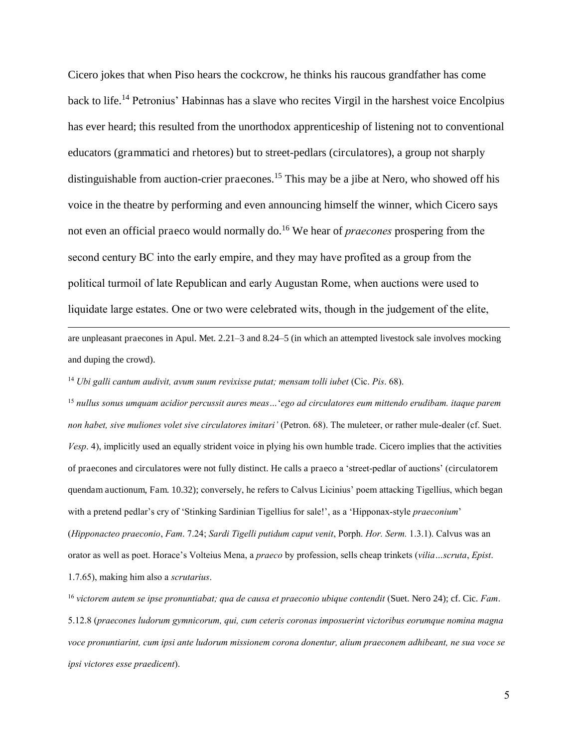Cicero jokes that when Piso hears the cockcrow, he thinks his raucous grandfather has come back to life.<sup>14</sup> Petronius' Habinnas has a slave who recites Virgil in the harshest voice Encolpius has ever heard; this resulted from the unorthodox apprenticeship of listening not to conventional educators (grammatici and rhetores) but to street-pedlars (circulatores), a group not sharply distinguishable from auction-crier praecones.<sup>15</sup> This may be a jibe at Nero, who showed off his voice in the theatre by performing and even announcing himself the winner, which Cicero says not even an official praeco would normally do.<sup>16</sup> We hear of *praecones* prospering from the second century BC into the early empire, and they may have profited as a group from the political turmoil of late Republican and early Augustan Rome, when auctions were used to liquidate large estates. One or two were celebrated wits, though in the judgement of the elite,

are unpleasant praecones in Apul. Met. 2.21–3 and 8.24–5 (in which an attempted livestock sale involves mocking and duping the crowd).

<sup>14</sup> *Ubi galli cantum audivit, avum suum revixisse putat; mensam tolli iubet* (Cic. *Pis*. 68).

 $\overline{a}$ 

<sup>15</sup> *nullus sonus umquam acidior percussit aures meas…*'*ego ad circulatores eum mittendo erudibam. itaque parem non habet, sive muliones volet sive circulatores imitari'* (Petron. 68). The muleteer, or rather mule-dealer (cf. Suet. *Vesp*. 4), implicitly used an equally strident voice in plying his own humble trade. Cicero implies that the activities of praecones and circulatores were not fully distinct. He calls a praeco a 'street-pedlar of auctions' (circulatorem quendam auctionum, Fam. 10.32); conversely, he refers to Calvus Licinius' poem attacking Tigellius, which began with a pretend pedlar's cry of 'Stinking Sardinian Tigellius for sale!', as a 'Hipponax-style *praeconium*' (*Hipponacteo praeconio*, *Fam*. 7.24; *Sardi Tigelli putidum caput venit*, Porph. *Hor. Serm.* 1.3.1). Calvus was an orator as well as poet. Horace's Volteius Mena, a *praeco* by profession, sells cheap trinkets (*vilia…scruta*, *Epist*. 1.7.65), making him also a *scrutarius*.

<sup>16</sup> *victorem autem se ipse pronuntiabat; qua de causa et praeconio ubique contendit* (Suet. Nero 24); cf. Cic. *Fam*. 5.12.8 (*praecones ludorum gymnicorum, qui, cum ceteris coronas imposuerint victoribus eorumque nomina magna voce pronuntiarint, cum ipsi ante ludorum missionem corona donentur, alium praeconem adhibeant, ne sua voce se ipsi victores esse praedicent*).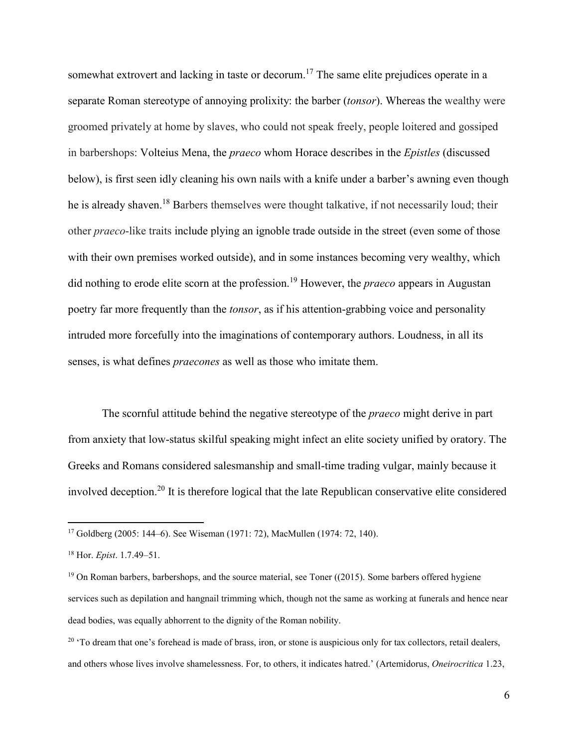somewhat extrovert and lacking in taste or decorum.<sup>17</sup> The same elite prejudices operate in a separate Roman stereotype of annoying prolixity: the barber (*tonsor*). Whereas the wealthy were groomed privately at home by slaves, who could not speak freely, people loitered and gossiped in barbershops: Volteius Mena, the *praeco* whom Horace describes in the *Epistles* (discussed below), is first seen idly cleaning his own nails with a knife under a barber's awning even though he is already shaven.<sup>18</sup> Barbers themselves were thought talkative, if not necessarily loud; their other *praeco*-like traits include plying an ignoble trade outside in the street (even some of those with their own premises worked outside), and in some instances becoming very wealthy, which did nothing to erode elite scorn at the profession.<sup>19</sup> However, the *praeco* appears in Augustan poetry far more frequently than the *tonsor*, as if his attention-grabbing voice and personality intruded more forcefully into the imaginations of contemporary authors. Loudness, in all its senses, is what defines *praecones* as well as those who imitate them.

The scornful attitude behind the negative stereotype of the *praeco* might derive in part from anxiety that low-status skilful speaking might infect an elite society unified by oratory. The Greeks and Romans considered salesmanship and small-time trading vulgar, mainly because it involved deception.<sup>20</sup> It is therefore logical that the late Republican conservative elite considered

<sup>17</sup> Goldberg (2005: 144–6). See Wiseman (1971: 72), MacMullen (1974: 72, 140).

<sup>18</sup> Hor. *Epist*. 1.7.49–51.

 $19$  On Roman barbers, barbershops, and the source material, see Toner ((2015). Some barbers offered hygiene services such as depilation and hangnail trimming which, though not the same as working at funerals and hence near dead bodies, was equally abhorrent to the dignity of the Roman nobility.

<sup>&</sup>lt;sup>20</sup> 'To dream that one's forehead is made of brass, iron, or stone is auspicious only for tax collectors, retail dealers, and others whose lives involve shamelessness. For, to others, it indicates hatred.' (Artemidorus, *Oneirocritica* 1.23,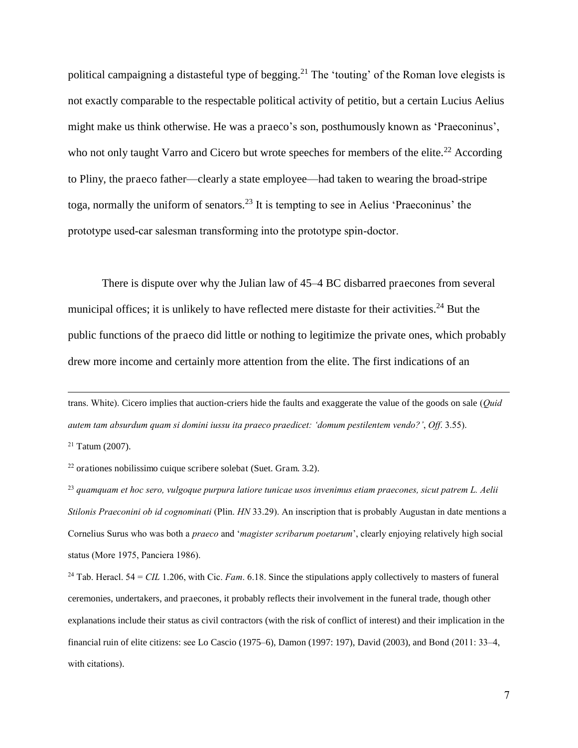political campaigning a distasteful type of begging.<sup>21</sup> The 'touting' of the Roman love elegists is not exactly comparable to the respectable political activity of petitio, but a certain Lucius Aelius might make us think otherwise. He was a praeco's son, posthumously known as 'Praeconinus', who not only taught Varro and Cicero but wrote speeches for members of the elite.<sup>22</sup> According to Pliny, the praeco father—clearly a state employee—had taken to wearing the broad-stripe toga, normally the uniform of senators.<sup>23</sup> It is tempting to see in Aelius 'Praeconinus' the prototype used-car salesman transforming into the prototype spin-doctor.

There is dispute over why the Julian law of 45–4 BC disbarred praecones from several municipal offices; it is unlikely to have reflected mere distaste for their activities.<sup>24</sup> But the public functions of the praeco did little or nothing to legitimize the private ones, which probably drew more income and certainly more attention from the elite. The first indications of an

<sup>21</sup> Tatum (2007).

 $\overline{a}$ 

<sup>22</sup> orationes nobilissimo cuique scribere solebat (Suet. Gram. 3.2).

<sup>23</sup> *quamquam et hoc sero, vulgoque purpura latiore tunicae usos invenimus etiam praecones, sicut patrem L. Aelii Stilonis Praeconini ob id cognominati* (Plin. *HN* 33.29). An inscription that is probably Augustan in date mentions a Cornelius Surus who was both a *praeco* and '*magister scribarum poetarum*', clearly enjoying relatively high social status (More 1975, Panciera 1986).

<sup>24</sup> Tab. Heracl. 54 = *CIL* 1.206, with Cic. *Fam*. 6.18. Since the stipulations apply collectively to masters of funeral ceremonies, undertakers, and praecones, it probably reflects their involvement in the funeral trade, though other explanations include their status as civil contractors (with the risk of conflict of interest) and their implication in the financial ruin of elite citizens: see Lo Cascio (1975–6), Damon (1997: 197), David (2003), and Bond (2011: 33–4, with citations).

trans. White). Cicero implies that auction-criers hide the faults and exaggerate the value of the goods on sale (*Quid autem tam absurdum quam si domini iussu ita praeco praedicet: 'domum pestilentem vendo?'*, *Off*. 3.55).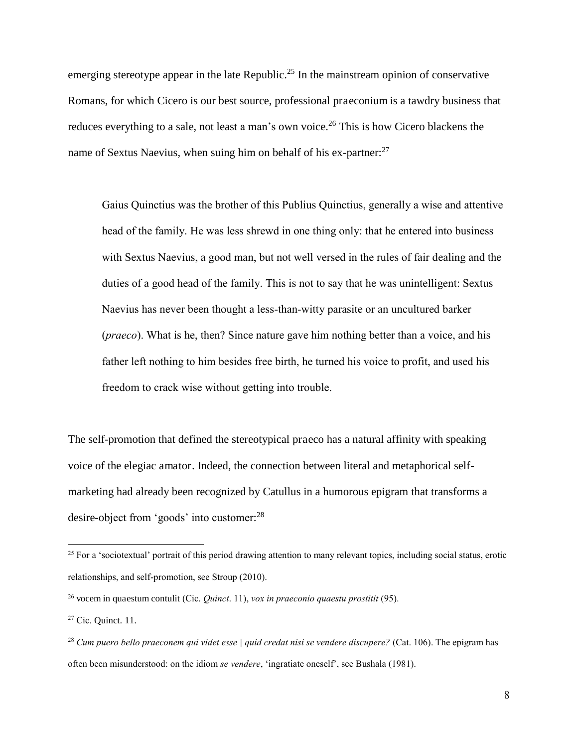emerging stereotype appear in the late Republic.<sup>25</sup> In the mainstream opinion of conservative Romans, for which Cicero is our best source, professional praeconium is a tawdry business that reduces everything to a sale, not least a man's own voice.<sup>26</sup> This is how Cicero blackens the name of Sextus Naevius, when suing him on behalf of his ex-partner: $27$ 

Gaius Quinctius was the brother of this Publius Quinctius, generally a wise and attentive head of the family. He was less shrewd in one thing only: that he entered into business with Sextus Naevius, a good man, but not well versed in the rules of fair dealing and the duties of a good head of the family. This is not to say that he was unintelligent: Sextus Naevius has never been thought a less-than-witty parasite or an uncultured barker (*praeco*). What is he, then? Since nature gave him nothing better than a voice, and his father left nothing to him besides free birth, he turned his voice to profit, and used his freedom to crack wise without getting into trouble.

The self-promotion that defined the stereotypical praeco has a natural affinity with speaking voice of the elegiac amator. Indeed, the connection between literal and metaphorical selfmarketing had already been recognized by Catullus in a humorous epigram that transforms a desire-object from 'goods' into customer:<sup>28</sup>

 $^{25}$  For a 'sociotextual' portrait of this period drawing attention to many relevant topics, including social status, erotic relationships, and self-promotion, see Stroup (2010).

<sup>26</sup> vocem in quaestum contulit (Cic. *Quinct*. 11), *vox in praeconio quaestu prostitit* (95).

<sup>27</sup> Cic. Quinct. 11.

<sup>28</sup> *Cum puero bello praeconem qui videt esse | quid credat nisi se vendere discupere?* (Cat. 106). The epigram has often been misunderstood: on the idiom *se vendere*, 'ingratiate oneself', see Bushala (1981).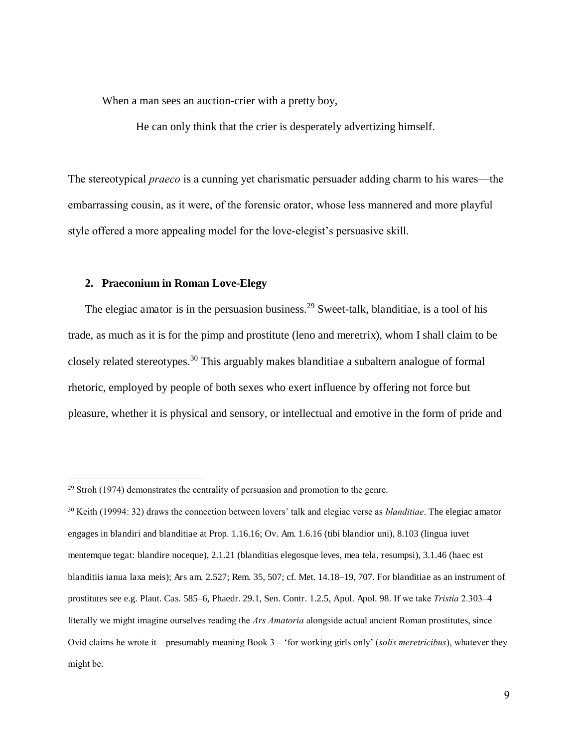When a man sees an auction-crier with a pretty boy,

He can only think that the crier is desperately advertizing himself.

The stereotypical *praeco* is a cunning yet charismatic persuader adding charm to his wares—the embarrassing cousin, as it were, of the forensic orator, whose less mannered and more playful style offered a more appealing model for the love-elegist's persuasive skill.

#### **2. Praeconium in Roman Love-Elegy**

 $\overline{a}$ 

The elegiac amator is in the persuasion business.<sup>29</sup> Sweet-talk, blanditiae, is a tool of his trade, as much as it is for the pimp and prostitute (leno and meretrix), whom I shall claim to be closely related stereotypes.<sup>30</sup> This arguably makes blanditiae a subaltern analogue of formal rhetoric, employed by people of both sexes who exert influence by offering not force but pleasure, whether it is physical and sensory, or intellectual and emotive in the form of pride and

 $29$  Stroh (1974) demonstrates the centrality of persuasion and promotion to the genre.

<sup>30</sup> Keith (19994: 32) draws the connection between lovers' talk and elegiac verse as *blanditiae*. The elegiac amator engages in blandiri and blanditiae at Prop. 1.16.16; Ov. Am. 1.6.16 (tibi blandior uni), 8.103 (lingua iuvet mentemque tegat: blandire noceque), 2.1.21 (blanditias elegosque leves, mea tela, resumpsi), 3.1.46 (haec est blanditiis ianua laxa meis); Ars am. 2.527; Rem. 35, 507; cf. Met. 14.18–19, 707. For blanditiae as an instrument of prostitutes see e.g. Plaut. Cas. 585–6, Phaedr. 29.1, Sen. Contr. 1.2.5, Apul. Apol. 98. If we take *Tristia* 2.303–4 literally we might imagine ourselves reading the *Ars Amatoria* alongside actual ancient Roman prostitutes, since Ovid claims he wrote it—presumably meaning Book 3—'for working girls only' (*solis meretricibus*), whatever they might be.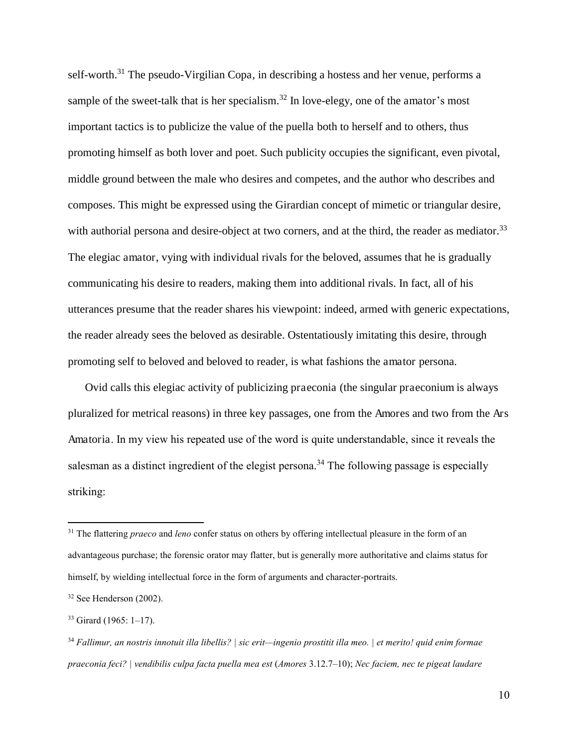self-worth.<sup>31</sup> The pseudo-Virgilian Copa, in describing a hostess and her venue, performs a sample of the sweet-talk that is her specialism.<sup>32</sup> In love-elegy, one of the amator's most important tactics is to publicize the value of the puella both to herself and to others, thus promoting himself as both lover and poet. Such publicity occupies the significant, even pivotal, middle ground between the male who desires and competes, and the author who describes and composes. This might be expressed using the Girardian concept of mimetic or triangular desire, with authorial persona and desire-object at two corners, and at the third, the reader as mediator.<sup>33</sup> The elegiac amator, vying with individual rivals for the beloved, assumes that he is gradually communicating his desire to readers, making them into additional rivals. In fact, all of his utterances presume that the reader shares his viewpoint: indeed, armed with generic expectations, the reader already sees the beloved as desirable. Ostentatiously imitating this desire, through promoting self to beloved and beloved to reader, is what fashions the amator persona.

Ovid calls this elegiac activity of publicizing praeconia (the singular praeconium is always pluralized for metrical reasons) in three key passages, one from the Amores and two from the Ars Amatoria. In my view his repeated use of the word is quite understandable, since it reveals the salesman as a distinct ingredient of the elegist persona.<sup>34</sup> The following passage is especially striking:

<sup>31</sup> The flattering *praeco* and *leno* confer status on others by offering intellectual pleasure in the form of an advantageous purchase; the forensic orator may flatter, but is generally more authoritative and claims status for himself, by wielding intellectual force in the form of arguments and character-portraits.

<sup>32</sup> See Henderson (2002).

<sup>33</sup> Girard (1965: 1–17).

<sup>34</sup> *Fallimur, an nostris innotuit illa libellis? | sic erit—ingenio prostitit illa meo. | et merito! quid enim formae praeconia feci? | vendibilis culpa facta puella mea est* (*Amores* 3.12.7–10); *Nec faciem, nec te pigeat laudare*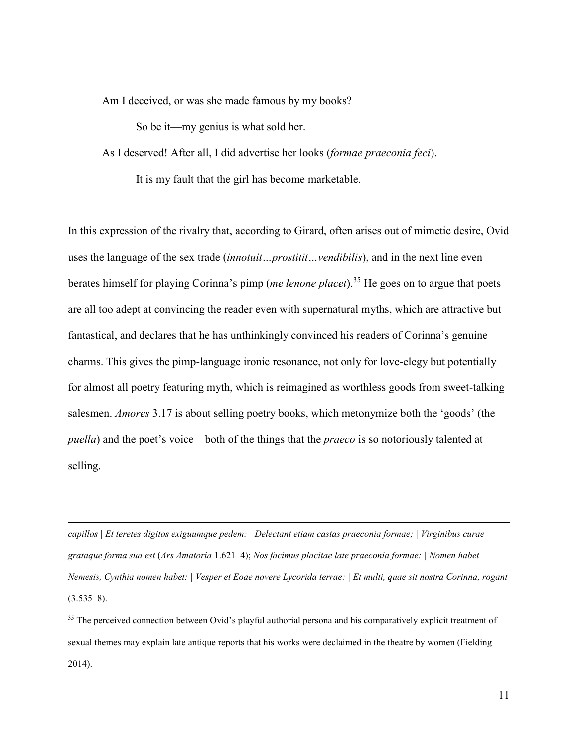Am I deceived, or was she made famous by my books?

So be it—my genius is what sold her.

As I deserved! After all, I did advertise her looks (*formae praeconia feci*).

It is my fault that the girl has become marketable.

In this expression of the rivalry that, according to Girard, often arises out of mimetic desire, Ovid uses the language of the sex trade (*innotuit…prostitit…vendibilis*), and in the next line even berates himself for playing Corinna's pimp (*me lenone placet*).<sup>35</sup> He goes on to argue that poets are all too adept at convincing the reader even with supernatural myths, which are attractive but fantastical, and declares that he has unthinkingly convinced his readers of Corinna's genuine charms. This gives the pimp-language ironic resonance, not only for love-elegy but potentially for almost all poetry featuring myth, which is reimagined as worthless goods from sweet-talking salesmen. *Amores* 3.17 is about selling poetry books, which metonymize both the 'goods' (the *puella*) and the poet's voice—both of the things that the *praeco* is so notoriously talented at selling.

*capillos | Et teretes digitos exiguumque pedem: | Delectant etiam castas praeconia formae; | Virginibus curae grataque forma sua est* (*Ars Amatoria* 1.621–4); *Nos facimus placitae late praeconia formae: | Nomen habet Nemesis, Cynthia nomen habet: | Vesper et Eoae novere Lycorida terrae: | Et multi, quae sit nostra Corinna, rogant*  $(3.535-8).$ 

 $\overline{a}$ 

<sup>35</sup> The perceived connection between Ovid's playful authorial persona and his comparatively explicit treatment of sexual themes may explain late antique reports that his works were declaimed in the theatre by women (Fielding 2014).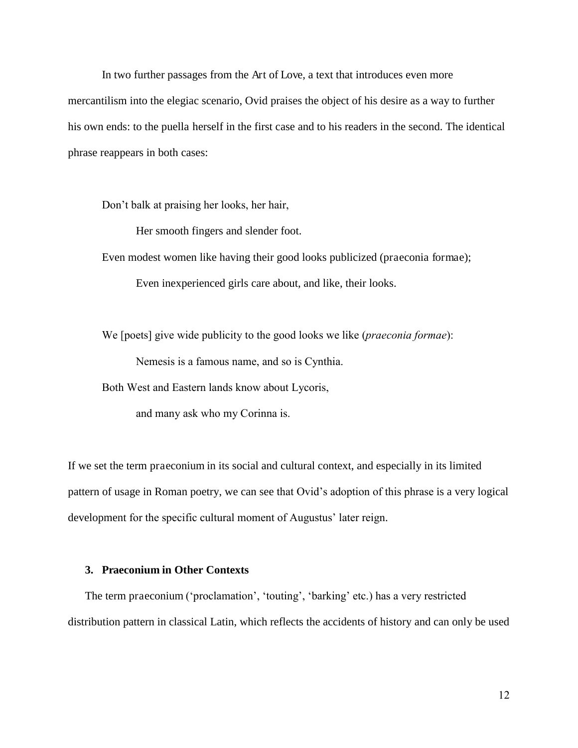In two further passages from the Art of Love, a text that introduces even more mercantilism into the elegiac scenario, Ovid praises the object of his desire as a way to further his own ends: to the puella herself in the first case and to his readers in the second. The identical phrase reappears in both cases:

Don't balk at praising her looks, her hair,

Her smooth fingers and slender foot.

Even modest women like having their good looks publicized (praeconia formae);

Even inexperienced girls care about, and like, their looks.

We [poets] give wide publicity to the good looks we like (*praeconia formae*): Nemesis is a famous name, and so is Cynthia.

Both West and Eastern lands know about Lycoris,

and many ask who my Corinna is.

If we set the term praeconium in its social and cultural context, and especially in its limited pattern of usage in Roman poetry, we can see that Ovid's adoption of this phrase is a very logical development for the specific cultural moment of Augustus' later reign.

#### **3. Praeconium in Other Contexts**

The term praeconium ('proclamation', 'touting', 'barking' etc.) has a very restricted distribution pattern in classical Latin, which reflects the accidents of history and can only be used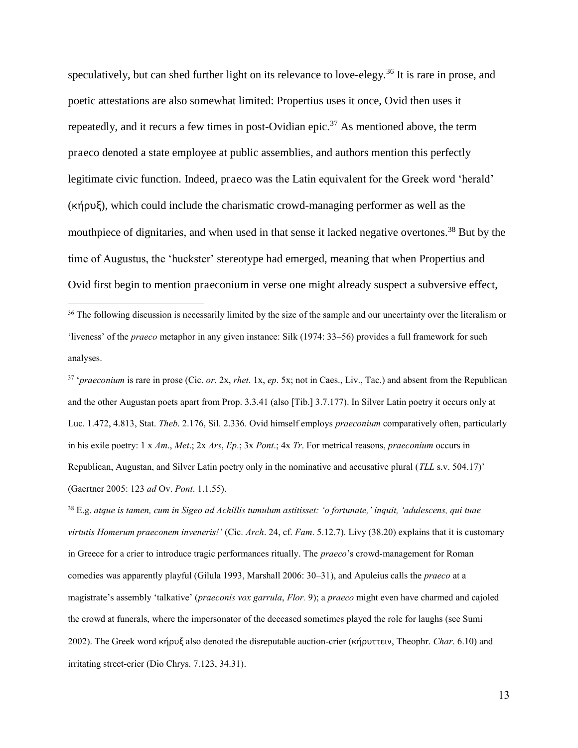speculatively, but can shed further light on its relevance to love-elegy.<sup>36</sup> It is rare in prose, and poetic attestations are also somewhat limited: Propertius uses it once, Ovid then uses it repeatedly, and it recurs a few times in post-Ovidian epic.<sup>37</sup> As mentioned above, the term praeco denoted a state employee at public assemblies, and authors mention this perfectly legitimate civic function. Indeed, praeco was the Latin equivalent for the Greek word 'herald'  $(\kappa \eta \rho \nu \xi)$ , which could include the charismatic crowd-managing performer as well as the mouthpiece of dignitaries, and when used in that sense it lacked negative overtones.<sup>38</sup> But by the time of Augustus, the 'huckster' stereotype had emerged, meaning that when Propertius and Ovid first begin to mention praeconium in verse one might already suspect a subversive effect,

<sup>36</sup> The following discussion is necessarily limited by the size of the sample and our uncertainty over the literalism or 'liveness' of the *praeco* metaphor in any given instance: Silk (1974: 33–56) provides a full framework for such analyses.

 $\overline{a}$ 

37 '*praeconium* is rare in prose (Cic. *or*. 2x, *rhet*. 1x, *ep*. 5x; not in Caes., Liv., Tac.) and absent from the Republican and the other Augustan poets apart from Prop. 3.3.41 (also [Tib.] 3.7.177). In Silver Latin poetry it occurs only at Luc. 1.472, 4.813, Stat. *Theb*. 2.176, Sil. 2.336. Ovid himself employs *praeconium* comparatively often, particularly in his exile poetry: 1 x *Am*., *Met*.; 2x *Ars*, *Ep*.; 3x *Pont*.; 4x *Tr*. For metrical reasons, *praeconium* occurs in Republican, Augustan, and Silver Latin poetry only in the nominative and accusative plural (*TLL* s.v. 504.17)' (Gaertner 2005: 123 *ad* Ov. *Pont*. 1.1.55).

<sup>38</sup> E.g. *atque is tamen, cum in Sigeo ad Achillis tumulum astitisset: 'o fortunate,' inquit, 'adulescens, qui tuae virtutis Homerum praeconem inveneris!'* (Cic. *Arch*. 24, cf. *Fam*. 5.12.7). Livy (38.20) explains that it is customary in Greece for a crier to introduce tragic performances ritually. The *praeco*'s crowd-management for Roman comedies was apparently playful (Gilula 1993, Marshall 2006: 30–31), and Apuleius calls the *praeco* at a magistrate's assembly 'talkative' (*praeconis vox garrula*, *Flor.* 9); a *praeco* might even have charmed and cajoled the crowd at funerals, where the impersonator of the deceased sometimes played the role for laughs (see Sumi 2002). The Greek word κήρυξ also denoted the disreputable auction-crier (κήρυττειν, Theophr. *Char*. 6.10) and irritating street-crier (Dio Chrys. 7.123, 34.31).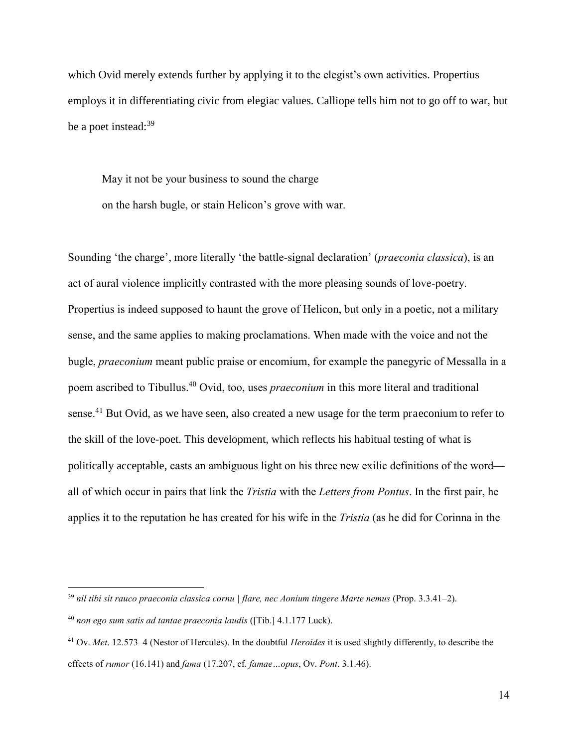which Ovid merely extends further by applying it to the elegist's own activities. Propertius employs it in differentiating civic from elegiac values. Calliope tells him not to go off to war, but be a poet instead:<sup>39</sup>

May it not be your business to sound the charge on the harsh bugle, or stain Helicon's grove with war.

Sounding 'the charge', more literally 'the battle-signal declaration' (*praeconia classica*), is an act of aural violence implicitly contrasted with the more pleasing sounds of love-poetry. Propertius is indeed supposed to haunt the grove of Helicon, but only in a poetic, not a military sense, and the same applies to making proclamations. When made with the voice and not the bugle, *praeconium* meant public praise or encomium, for example the panegyric of Messalla in a poem ascribed to Tibullus.<sup>40</sup> Ovid, too, uses *praeconium* in this more literal and traditional sense.<sup>41</sup> But Ovid, as we have seen, also created a new usage for the term praeconium to refer to the skill of the love-poet. This development, which reflects his habitual testing of what is politically acceptable, casts an ambiguous light on his three new exilic definitions of the word all of which occur in pairs that link the *Tristia* with the *Letters from Pontus*. In the first pair, he applies it to the reputation he has created for his wife in the *Tristia* (as he did for Corinna in the

<sup>39</sup> *nil tibi sit rauco praeconia classica cornu | flare, nec Aonium tingere Marte nemus* (Prop. 3.3.41–2).

<sup>40</sup> *non ego sum satis ad tantae praeconia laudis* ([Tib.] 4.1.177 Luck).

<sup>41</sup> Ov. *Met*. 12.573–4 (Nestor of Hercules). In the doubtful *Heroides* it is used slightly differently, to describe the effects of *rumor* (16.141) and *fama* (17.207, cf. *famae…opus*, Ov. *Pont*. 3.1.46).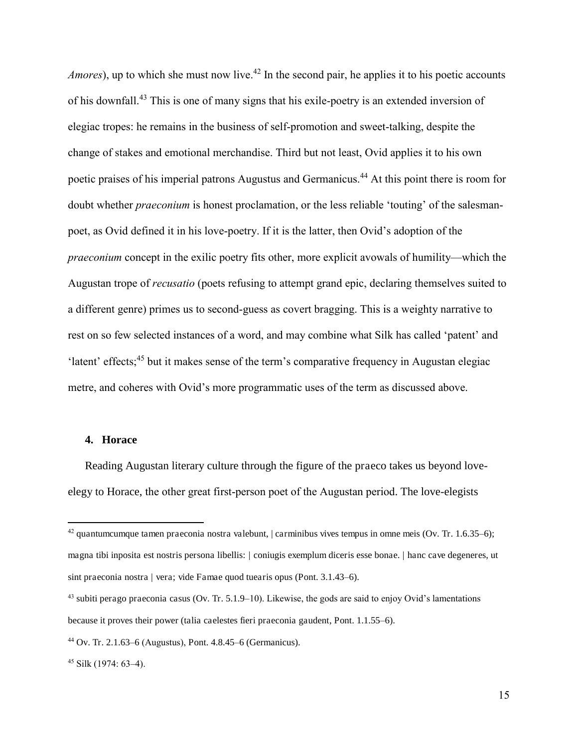*Amores*), up to which she must now live.<sup>42</sup> In the second pair, he applies it to his poetic accounts of his downfall.<sup>43</sup> This is one of many signs that his exile-poetry is an extended inversion of elegiac tropes: he remains in the business of self-promotion and sweet-talking, despite the change of stakes and emotional merchandise. Third but not least, Ovid applies it to his own poetic praises of his imperial patrons Augustus and Germanicus.<sup>44</sup> At this point there is room for doubt whether *praeconium* is honest proclamation, or the less reliable 'touting' of the salesmanpoet, as Ovid defined it in his love-poetry. If it is the latter, then Ovid's adoption of the *praeconium* concept in the exilic poetry fits other, more explicit avowals of humility—which the Augustan trope of *recusatio* (poets refusing to attempt grand epic, declaring themselves suited to a different genre) primes us to second-guess as covert bragging. This is a weighty narrative to rest on so few selected instances of a word, and may combine what Silk has called 'patent' and 'latent' effects;<sup>45</sup> but it makes sense of the term's comparative frequency in Augustan elegiac metre, and coheres with Ovid's more programmatic uses of the term as discussed above.

#### **4. Horace**

 $\overline{a}$ 

Reading Augustan literary culture through the figure of the praeco takes us beyond loveelegy to Horace, the other great first-person poet of the Augustan period. The love-elegists

<sup>&</sup>lt;sup>42</sup> quantumcumque tamen praeconia nostra valebunt, | carminibus vives tempus in omne meis (Ov. Tr. 1.6.35–6); magna tibi inposita est nostris persona libellis: | coniugis exemplum diceris esse bonae. | hanc cave degeneres, ut sint praeconia nostra | vera; vide Famae quod tuearis opus (Pont. 3.1.43–6).

 $43$  subiti perago praeconia casus (Ov. Tr. 5.1.9–10). Likewise, the gods are said to enjoy Ovid's lamentations because it proves their power (talia caelestes fieri praeconia gaudent, Pont. 1.1.55–6).

<sup>44</sup> Ov. Tr. 2.1.63–6 (Augustus), Pont. 4.8.45–6 (Germanicus).

<sup>45</sup> Silk (1974: 63–4).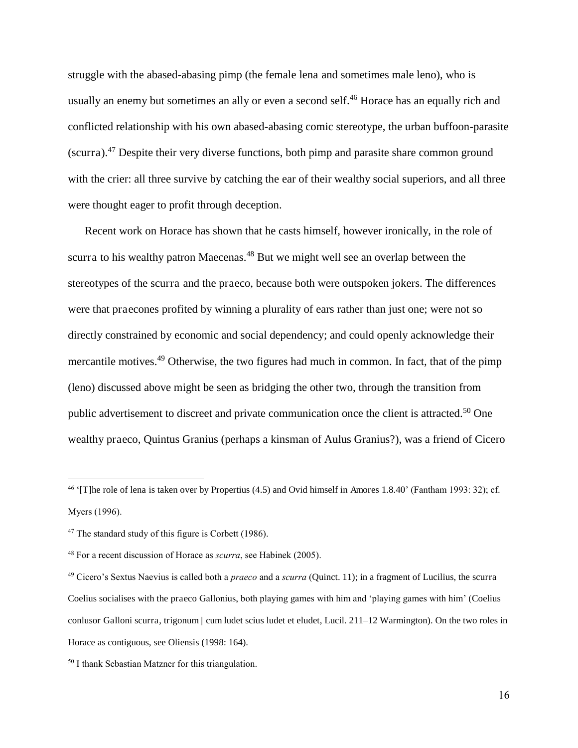struggle with the abased-abasing pimp (the female lena and sometimes male leno), who is usually an enemy but sometimes an ally or even a second self.<sup>46</sup> Horace has an equally rich and conflicted relationship with his own abased-abasing comic stereotype, the urban buffoon-parasite (scurra).<sup>47</sup> Despite their very diverse functions, both pimp and parasite share common ground with the crier: all three survive by catching the ear of their wealthy social superiors, and all three were thought eager to profit through deception.

Recent work on Horace has shown that he casts himself, however ironically, in the role of scurra to his wealthy patron Maecenas.<sup>48</sup> But we might well see an overlap between the stereotypes of the scurra and the praeco, because both were outspoken jokers. The differences were that praecones profited by winning a plurality of ears rather than just one; were not so directly constrained by economic and social dependency; and could openly acknowledge their mercantile motives.<sup>49</sup> Otherwise, the two figures had much in common. In fact, that of the pimp (leno) discussed above might be seen as bridging the other two, through the transition from public advertisement to discreet and private communication once the client is attracted.<sup>50</sup> One wealthy praeco, Quintus Granius (perhaps a kinsman of Aulus Granius?), was a friend of Cicero

<sup>&</sup>lt;sup>46</sup> '[T]he role of lena is taken over by Propertius (4.5) and Ovid himself in Amores 1.8.40' (Fantham 1993: 32); cf. Myers (1996).

<sup>&</sup>lt;sup>47</sup> The standard study of this figure is Corbett (1986).

<sup>48</sup> For a recent discussion of Horace as *scurra*, see Habinek (2005).

<sup>49</sup> Cicero's Sextus Naevius is called both a *praeco* and a *scurra* (Quinct. 11); in a fragment of Lucilius, the scurra Coelius socialises with the praeco Gallonius, both playing games with him and 'playing games with him' (Coelius conlusor Galloni scurra, trigonum | cum ludet scius ludet et eludet, Lucil. 211–12 Warmington). On the two roles in Horace as contiguous, see Oliensis (1998: 164).

<sup>50</sup> I thank Sebastian Matzner for this triangulation.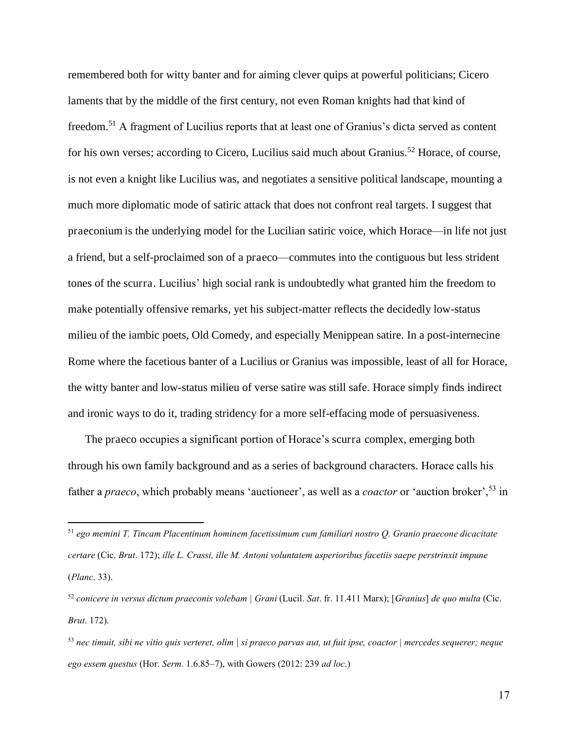remembered both for witty banter and for aiming clever quips at powerful politicians; Cicero laments that by the middle of the first century, not even Roman knights had that kind of freedom.<sup>51</sup> A fragment of Lucilius reports that at least one of Granius's dicta served as content for his own verses; according to Cicero, Lucilius said much about Granius.<sup>52</sup> Horace, of course, is not even a knight like Lucilius was, and negotiates a sensitive political landscape, mounting a much more diplomatic mode of satiric attack that does not confront real targets. I suggest that praeconium is the underlying model for the Lucilian satiric voice, which Horace—in life not just a friend, but a self-proclaimed son of a praeco—commutes into the contiguous but less strident tones of the scurra. Lucilius' high social rank is undoubtedly what granted him the freedom to make potentially offensive remarks, yet his subject-matter reflects the decidedly low-status milieu of the iambic poets, Old Comedy, and especially Menippean satire. In a post-internecine Rome where the facetious banter of a Lucilius or Granius was impossible, least of all for Horace, the witty banter and low-status milieu of verse satire was still safe. Horace simply finds indirect and ironic ways to do it, trading stridency for a more self-effacing mode of persuasiveness.

The praeco occupies a significant portion of Horace's scurra complex, emerging both through his own family background and as a series of background characters. Horace calls his father a *praeco*, which probably means 'auctioneer', as well as a *coactor* or 'auction broker',<sup>53</sup> in

<sup>51</sup> *ego memini T. Tincam Placentinum hominem facetissimum cum familiari nostro Q. Granio praecone dicacitate certare* (Cic. *Brut*. 172); *ille L. Crassi, ille M. Antoni voluntatem asperioribus facetiis saepe perstrinxit impune* (*Planc*. 33).

<sup>52</sup> *conicere in versus dictum praeconis volebam | Grani* (Lucil. *Sat*. fr. 11.411 Marx); [*Granius*] *de quo multa* (Cic. *Brut*. 172).

<sup>53</sup> *nec timuit, sibi ne vitio quis verteret, olim | si praeco parvas aut, ut fuit ipse, coactor | mercedes sequerer; neque ego essem questus* (Hor. *Serm*. 1.6.85–7), with Gowers (2012: 239 *ad loc*.)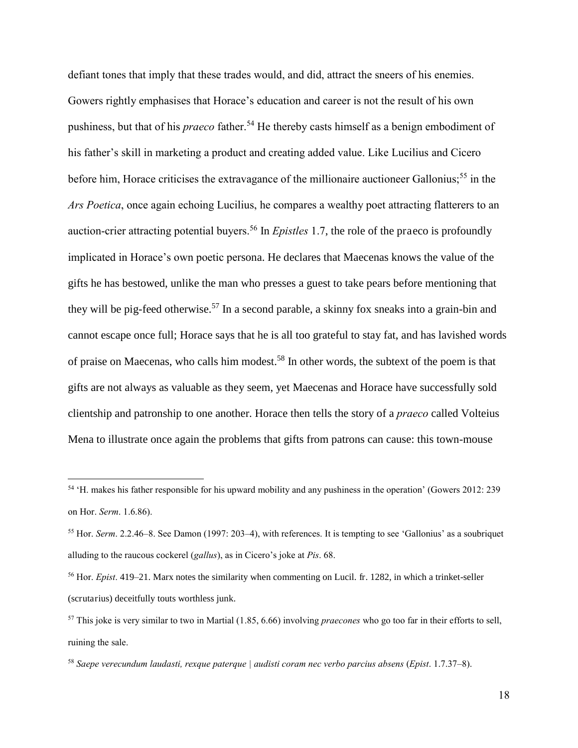defiant tones that imply that these trades would, and did, attract the sneers of his enemies. Gowers rightly emphasises that Horace's education and career is not the result of his own pushiness, but that of his *praeco* father.<sup>54</sup> He thereby casts himself as a benign embodiment of his father's skill in marketing a product and creating added value. Like Lucilius and Cicero before him, Horace criticises the extravagance of the millionaire auctioneer Gallonius;<sup>55</sup> in the *Ars Poetica*, once again echoing Lucilius, he compares a wealthy poet attracting flatterers to an auction-crier attracting potential buyers.<sup>56</sup> In *Epistles* 1.7, the role of the praeco is profoundly implicated in Horace's own poetic persona. He declares that Maecenas knows the value of the gifts he has bestowed, unlike the man who presses a guest to take pears before mentioning that they will be pig-feed otherwise.<sup>57</sup> In a second parable, a skinny fox sneaks into a grain-bin and cannot escape once full; Horace says that he is all too grateful to stay fat, and has lavished words of praise on Maecenas, who calls him modest.<sup>58</sup> In other words, the subtext of the poem is that gifts are not always as valuable as they seem, yet Maecenas and Horace have successfully sold clientship and patronship to one another. Horace then tells the story of a *praeco* called Volteius Mena to illustrate once again the problems that gifts from patrons can cause: this town-mouse

<sup>54</sup> 'H. makes his father responsible for his upward mobility and any pushiness in the operation' (Gowers 2012: 239 on Hor. *Serm*. 1.6.86).

<sup>55</sup> Hor. *Serm*. 2.2.46–8. See Damon (1997: 203–4), with references. It is tempting to see 'Gallonius' as a soubriquet alluding to the raucous cockerel (*gallus*), as in Cicero's joke at *Pis*. 68.

<sup>56</sup> Hor. *Epist*. 419–21. Marx notes the similarity when commenting on Lucil. fr. 1282, in which a trinket-seller (scrutarius) deceitfully touts worthless junk.

<sup>57</sup> This joke is very similar to two in Martial (1.85, 6.66) involving *praecones* who go too far in their efforts to sell, ruining the sale.

<sup>58</sup> *Saepe verecundum laudasti, rexque paterque | audisti coram nec verbo parcius absens* (*Epist*. 1.7.37–8).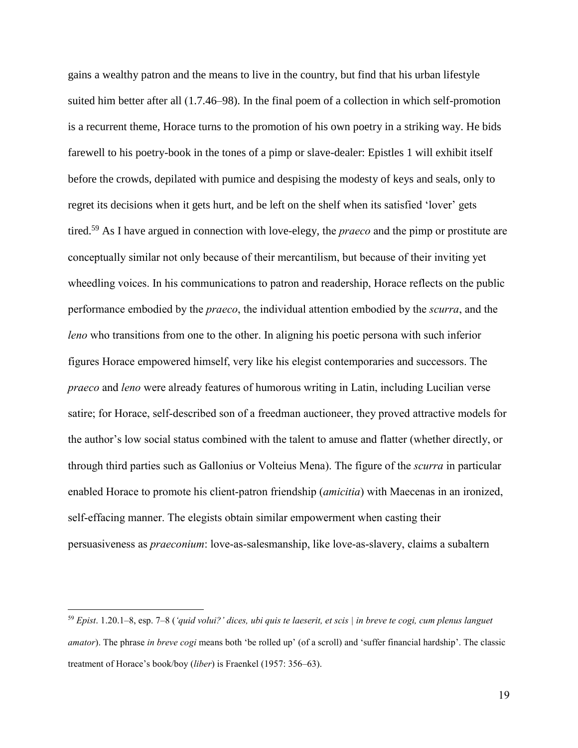gains a wealthy patron and the means to live in the country, but find that his urban lifestyle suited him better after all (1.7.46–98). In the final poem of a collection in which self-promotion is a recurrent theme, Horace turns to the promotion of his own poetry in a striking way. He bids farewell to his poetry-book in the tones of a pimp or slave-dealer: Epistles 1 will exhibit itself before the crowds, depilated with pumice and despising the modesty of keys and seals, only to regret its decisions when it gets hurt, and be left on the shelf when its satisfied 'lover' gets tired.<sup>59</sup> As I have argued in connection with love-elegy, the *praeco* and the pimp or prostitute are conceptually similar not only because of their mercantilism, but because of their inviting yet wheedling voices. In his communications to patron and readership, Horace reflects on the public performance embodied by the *praeco*, the individual attention embodied by the *scurra*, and the *leno* who transitions from one to the other. In aligning his poetic persona with such inferior figures Horace empowered himself, very like his elegist contemporaries and successors. The *praeco* and *leno* were already features of humorous writing in Latin, including Lucilian verse satire; for Horace, self-described son of a freedman auctioneer, they proved attractive models for the author's low social status combined with the talent to amuse and flatter (whether directly, or through third parties such as Gallonius or Volteius Mena). The figure of the *scurra* in particular enabled Horace to promote his client-patron friendship (*amicitia*) with Maecenas in an ironized, self-effacing manner. The elegists obtain similar empowerment when casting their persuasiveness as *praeconium*: love-as-salesmanship, like love-as-slavery, claims a subaltern

<sup>59</sup> *Epist*. 1.20.1–8, esp. 7–8 (*'quid volui?' dices, ubi quis te laeserit, et scis | in breve te cogi, cum plenus languet amator*). The phrase *in breve cogi* means both 'be rolled up' (of a scroll) and 'suffer financial hardship'. The classic treatment of Horace's book/boy (*liber*) is Fraenkel (1957: 356–63).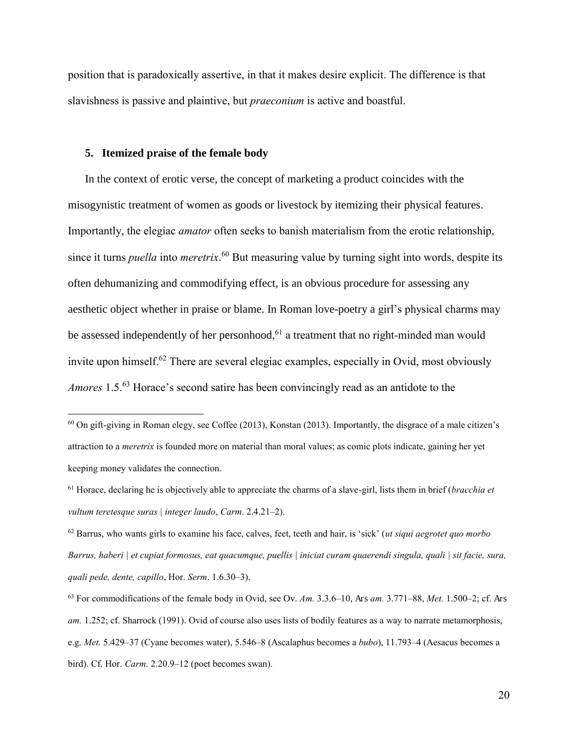position that is paradoxically assertive, in that it makes desire explicit. The difference is that slavishness is passive and plaintive, but *praeconium* is active and boastful.

#### **5. Itemized praise of the female body**

 $\overline{a}$ 

In the context of erotic verse, the concept of marketing a product coincides with the misogynistic treatment of women as goods or livestock by itemizing their physical features. Importantly, the elegiac *amator* often seeks to banish materialism from the erotic relationship, since it turns *puella* into *meretrix*. <sup>60</sup> But measuring value by turning sight into words, despite its often dehumanizing and commodifying effect, is an obvious procedure for assessing any aesthetic object whether in praise or blame. In Roman love-poetry a girl's physical charms may be assessed independently of her personhood, <sup>61</sup> a treatment that no right-minded man would invite upon himself.<sup>62</sup> There are several elegiac examples, especially in Ovid, most obviously *Amores* 1.5.<sup>63</sup> Horace's second satire has been convincingly read as an antidote to the

 $60$  On gift-giving in Roman elegy, see Coffee (2013), Konstan (2013). Importantly, the disgrace of a male citizen's attraction to a *meretrix* is founded more on material than moral values; as comic plots indicate, gaining her yet keeping money validates the connection.

<sup>61</sup> Horace, declaring he is objectively able to appreciate the charms of a slave-girl, lists them in brief (*bracchia et vultum teretesque suras | integer laudo*, *Carm*. 2.4.21–2).

<sup>62</sup> Barrus, who wants girls to examine his face, calves, feet, teeth and hair, is 'sick' (*ut siqui aegrotet quo morbo Barrus, haberi | et cupiat formosus, eat quacumque, puellis | iniciat curam quaerendi singula, quali | sit facie, sura, quali pede, dente, capillo*, Hor. *Serm*. 1.6.30–3).

<sup>63</sup> For commodifications of the female body in Ovid, see Ov. *Am.* 3.3.6–10, Ars *am.* 3.771–88, *Met.* 1.500–2; cf. Ars *am.* 1.252; cf. Sharrock (1991). Ovid of course also uses lists of bodily features as a way to narrate metamorphosis, e.g. *Met.* 5.429–37 (Cyane becomes water), 5.546–8 (Ascalaphus becomes a *bubo*), 11.793–4 (Aesacus becomes a bird). Cf. Hor. *Carm*. 2.20.9–12 (poet becomes swan).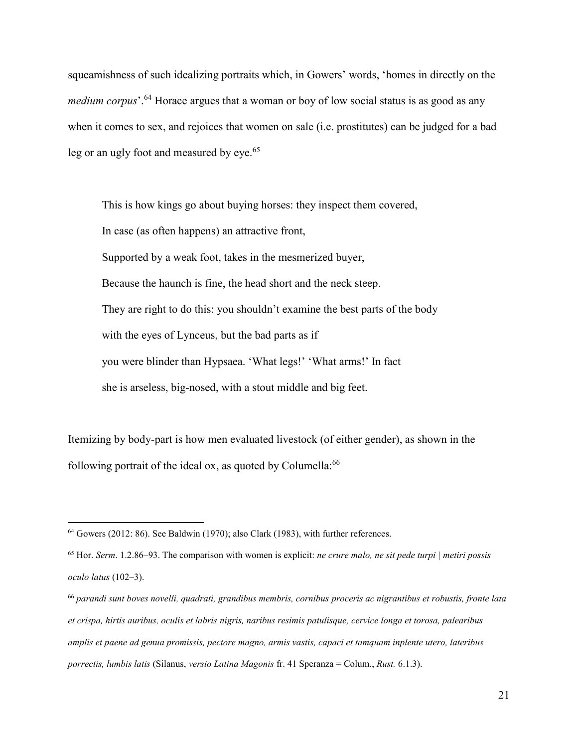squeamishness of such idealizing portraits which, in Gowers' words, 'homes in directly on the *medium corpus*<sup>'. 64</sup> Horace argues that a woman or boy of low social status is as good as any when it comes to sex, and rejoices that women on sale (i.e. prostitutes) can be judged for a bad leg or an ugly foot and measured by eye.<sup>65</sup>

This is how kings go about buying horses: they inspect them covered, In case (as often happens) an attractive front, Supported by a weak foot, takes in the mesmerized buyer, Because the haunch is fine, the head short and the neck steep. They are right to do this: you shouldn't examine the best parts of the body with the eyes of Lynceus, but the bad parts as if you were blinder than Hypsaea. 'What legs!' 'What arms!' In fact she is arseless, big-nosed, with a stout middle and big feet.

Itemizing by body-part is how men evaluated livestock (of either gender), as shown in the following portrait of the ideal ox, as quoted by Columella: $66$ 

<sup>64</sup> Gowers (2012: 86). See Baldwin (1970); also Clark (1983), with further references.

<sup>65</sup> Hor. *Serm*. 1.2.86–93. The comparison with women is explicit: *ne crure malo, ne sit pede turpi | metiri possis oculo latus* (102–3).

<sup>66</sup> *parandi sunt boves novelli, quadrati, grandibus membris, cornibus proceris ac nigrantibus et robustis, fronte lata et crispa, hirtis auribus, oculis et labris nigris, naribus resimis patulisque, cervice longa et torosa, palearibus amplis et paene ad genua promissis, pectore magno, armis vastis, capaci et tamquam inplente utero, lateribus porrectis, lumbis latis* (Silanus, *versio Latina Magonis* fr. 41 Speranza = Colum., *Rust.* 6.1.3).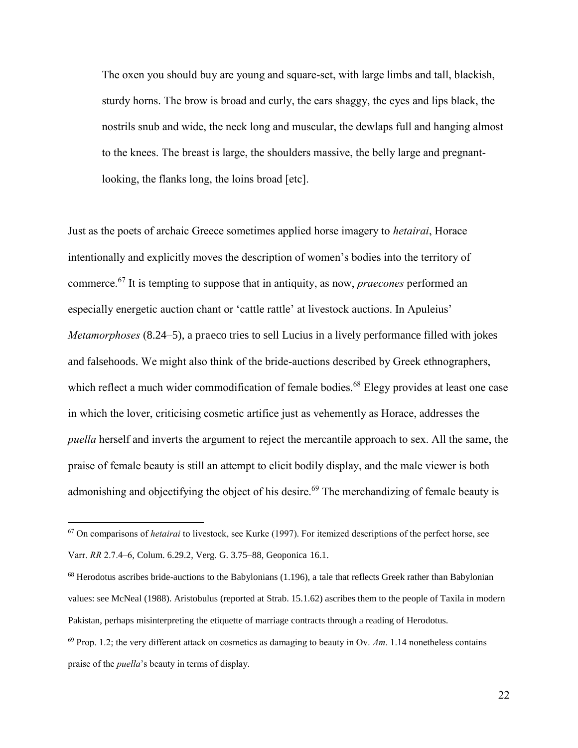The oxen you should buy are young and square-set, with large limbs and tall, blackish, sturdy horns. The brow is broad and curly, the ears shaggy, the eyes and lips black, the nostrils snub and wide, the neck long and muscular, the dewlaps full and hanging almost to the knees. The breast is large, the shoulders massive, the belly large and pregnantlooking, the flanks long, the loins broad [etc].

Just as the poets of archaic Greece sometimes applied horse imagery to *hetairai*, Horace intentionally and explicitly moves the description of women's bodies into the territory of commerce.<sup>67</sup> It is tempting to suppose that in antiquity, as now, *praecones* performed an especially energetic auction chant or 'cattle rattle' at livestock auctions. In Apuleius' *Metamorphoses* (8.24–5), a praeco tries to sell Lucius in a lively performance filled with jokes and falsehoods. We might also think of the bride-auctions described by Greek ethnographers, which reflect a much wider commodification of female bodies.<sup>68</sup> Elegy provides at least one case in which the lover, criticising cosmetic artifice just as vehemently as Horace, addresses the *puella* herself and inverts the argument to reject the mercantile approach to sex. All the same, the praise of female beauty is still an attempt to elicit bodily display, and the male viewer is both admonishing and objectifying the object of his desire.<sup>69</sup> The merchandizing of female beauty is

 $\overline{a}$ 

 $68$  Herodotus ascribes bride-auctions to the Babylonians (1.196), a tale that reflects Greek rather than Babylonian values: see McNeal (1988). Aristobulus (reported at Strab. 15.1.62) ascribes them to the people of Taxila in modern Pakistan, perhaps misinterpreting the etiquette of marriage contracts through a reading of Herodotus.

<sup>67</sup> On comparisons of *hetairai* to livestock, see Kurke (1997). For itemized descriptions of the perfect horse, see Varr. *RR* 2.7.4–6, Colum. 6.29.2, Verg. G. 3.75–88, Geoponica 16.1.

<sup>69</sup> Prop. 1.2; the very different attack on cosmetics as damaging to beauty in Ov. *Am*. 1.14 nonetheless contains praise of the *puella*'s beauty in terms of display.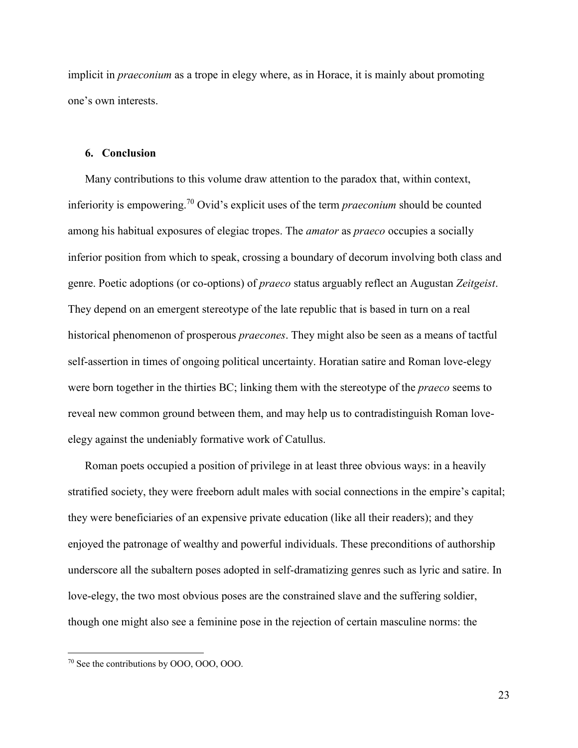implicit in *praeconium* as a trope in elegy where, as in Horace, it is mainly about promoting one's own interests.

#### **6. Conclusion**

Many contributions to this volume draw attention to the paradox that, within context, inferiority is empowering.<sup>70</sup> Ovid's explicit uses of the term *praeconium* should be counted among his habitual exposures of elegiac tropes. The *amator* as *praeco* occupies a socially inferior position from which to speak, crossing a boundary of decorum involving both class and genre. Poetic adoptions (or co-options) of *praeco* status arguably reflect an Augustan *Zeitgeist*. They depend on an emergent stereotype of the late republic that is based in turn on a real historical phenomenon of prosperous *praecones*. They might also be seen as a means of tactful self-assertion in times of ongoing political uncertainty. Horatian satire and Roman love-elegy were born together in the thirties BC; linking them with the stereotype of the *praeco* seems to reveal new common ground between them, and may help us to contradistinguish Roman loveelegy against the undeniably formative work of Catullus.

Roman poets occupied a position of privilege in at least three obvious ways: in a heavily stratified society, they were freeborn adult males with social connections in the empire's capital; they were beneficiaries of an expensive private education (like all their readers); and they enjoyed the patronage of wealthy and powerful individuals. These preconditions of authorship underscore all the subaltern poses adopted in self-dramatizing genres such as lyric and satire. In love-elegy, the two most obvious poses are the constrained slave and the suffering soldier, though one might also see a feminine pose in the rejection of certain masculine norms: the

<sup>70</sup> See the contributions by OOO, OOO, OOO.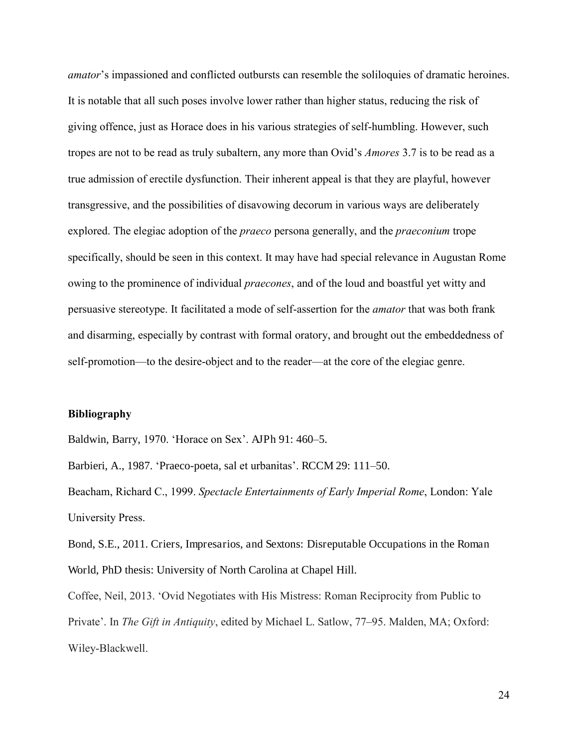*amator*'s impassioned and conflicted outbursts can resemble the soliloquies of dramatic heroines. It is notable that all such poses involve lower rather than higher status, reducing the risk of giving offence, just as Horace does in his various strategies of self-humbling. However, such tropes are not to be read as truly subaltern, any more than Ovid's *Amores* 3.7 is to be read as a true admission of erectile dysfunction. Their inherent appeal is that they are playful, however transgressive, and the possibilities of disavowing decorum in various ways are deliberately explored. The elegiac adoption of the *praeco* persona generally, and the *praeconium* trope specifically, should be seen in this context. It may have had special relevance in Augustan Rome owing to the prominence of individual *praecones*, and of the loud and boastful yet witty and persuasive stereotype. It facilitated a mode of self-assertion for the *amator* that was both frank and disarming, especially by contrast with formal oratory, and brought out the embeddedness of self-promotion—to the desire-object and to the reader—at the core of the elegiac genre.

#### **Bibliography**

Baldwin, Barry, 1970. 'Horace on Sex'. AJPh 91: 460–5.

Barbieri, A., 1987. 'Praeco-poeta, sal et urbanitas'. RCCM 29: 111–50.

Beacham, Richard C., 1999. *Spectacle Entertainments of Early Imperial Rome*, London: Yale University Press.

Bond, S.E., 2011. Criers, Impresarios, and Sextons: Disreputable Occupations in the Roman World, PhD thesis: University of North Carolina at Chapel Hill.

Coffee, Neil, 2013. 'Ovid Negotiates with His Mistress: Roman Reciprocity from Public to Private'. In *The Gift in Antiquity*, edited by Michael L. Satlow, 77–95. Malden, MA; Oxford: Wiley-Blackwell.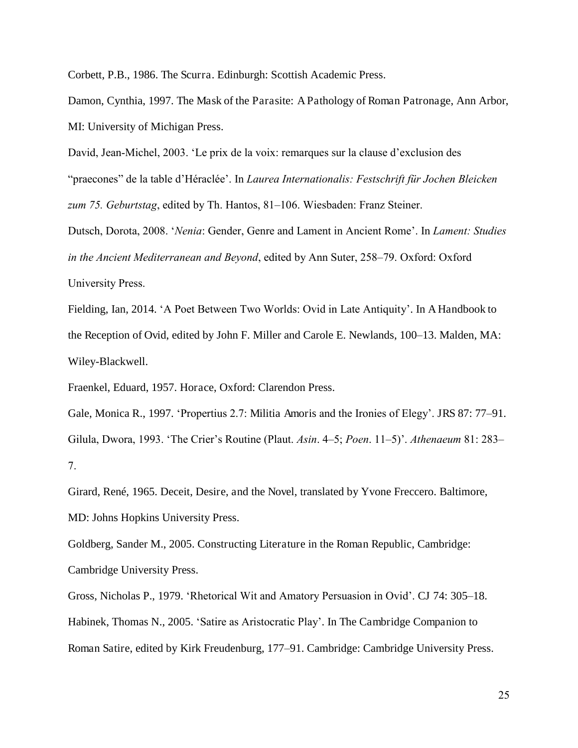Corbett, P.B., 1986. The Scurra. Edinburgh: Scottish Academic Press.

Damon, Cynthia, 1997. The Mask of the Parasite: A Pathology of Roman Patronage, Ann Arbor, MI: University of Michigan Press.

David, Jean-Michel, 2003. 'Le prix de la voix: remarques sur la clause d'exclusion des "praecones" de la table d'Héraclée'. In *Laurea Internationalis: Festschrift für Jochen Bleicken zum 75. Geburtstag*, edited by Th. Hantos, 81–106. Wiesbaden: Franz Steiner. Dutsch, Dorota, 2008. '*Nenia*: Gender, Genre and Lament in Ancient Rome'. In *Lament: Studies in the Ancient Mediterranean and Beyond*, edited by Ann Suter, 258–79. Oxford: Oxford

University Press.

Fielding, Ian, 2014. 'A Poet Between Two Worlds: Ovid in Late Antiquity'. In A Handbook to the Reception of Ovid, edited by John F. Miller and Carole E. Newlands, 100–13. Malden, MA: Wiley-Blackwell.

Fraenkel, Eduard, 1957. Horace, Oxford: Clarendon Press.

Gale, Monica R., 1997. 'Propertius 2.7: Militia Amoris and the Ironies of Elegy'. JRS 87: 77–91. Gilula, Dwora, 1993. 'The Crier's Routine (Plaut. *Asin*. 4–5; *Poen*. 11–5)'. *Athenaeum* 81: 283– 7.

Girard, René, 1965. Deceit, Desire, and the Novel, translated by Yvone Freccero. Baltimore, MD: Johns Hopkins University Press.

Goldberg, Sander M., 2005. Constructing Literature in the Roman Republic, Cambridge: Cambridge University Press.

Gross, Nicholas P., 1979. 'Rhetorical Wit and Amatory Persuasion in Ovid'. CJ 74: 305–18. Habinek, Thomas N., 2005. 'Satire as Aristocratic Play'. In The Cambridge Companion to Roman Satire, edited by Kirk Freudenburg, 177–91. Cambridge: Cambridge University Press.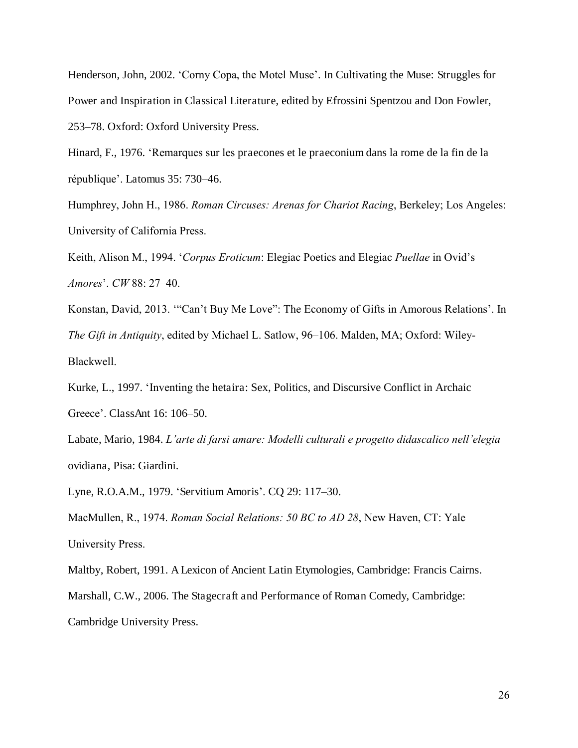Henderson, John, 2002. 'Corny Copa, the Motel Muse'. In Cultivating the Muse: Struggles for Power and Inspiration in Classical Literature, edited by Efrossini Spentzou and Don Fowler, 253–78. Oxford: Oxford University Press.

Hinard, F., 1976. 'Remarques sur les praecones et le praeconium dans la rome de la fin de la république'. Latomus 35: 730–46.

Humphrey, John H., 1986. *Roman Circuses: Arenas for Chariot Racing*, Berkeley; Los Angeles: University of California Press.

Keith, Alison M., 1994. '*Corpus Eroticum*: Elegiac Poetics and Elegiac *Puellae* in Ovid's *Amores*'. *CW* 88: 27–40.

Konstan, David, 2013. '"Can't Buy Me Love": The Economy of Gifts in Amorous Relations'. In *The Gift in Antiquity*, edited by Michael L. Satlow, 96–106. Malden, MA; Oxford: Wiley-Blackwell.

Kurke, L., 1997. 'Inventing the hetaira: Sex, Politics, and Discursive Conflict in Archaic Greece'. ClassAnt 16: 106–50.

Labate, Mario, 1984. *L'arte di farsi amare: Modelli culturali e progetto didascalico nell'elegia*  ovidiana, Pisa: Giardini.

Lyne, R.O.A.M., 1979. 'Servitium Amoris'. CQ 29: 117–30.

MacMullen, R., 1974. *Roman Social Relations: 50 BC to AD 28*, New Haven, CT: Yale University Press.

Maltby, Robert, 1991. A Lexicon of Ancient Latin Etymologies, Cambridge: Francis Cairns. Marshall, C.W., 2006. The Stagecraft and Performance of Roman Comedy, Cambridge: Cambridge University Press.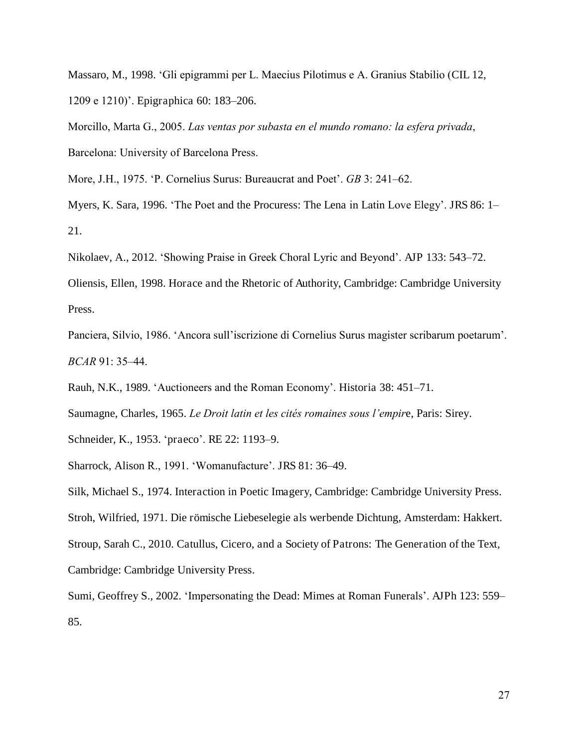Massaro, M., 1998. 'Gli epigrammi per L. Maecius Pilotimus e A. Granius Stabilio (CIL 12, 1209 e 1210)'. Epigraphica 60: 183–206.

Morcillo, Marta G., 2005. *Las ventas por subasta en el mundo romano: la esfera privada*, Barcelona: University of Barcelona Press.

More, J.H., 1975. 'P. Cornelius Surus: Bureaucrat and Poet'. *GB* 3: 241–62.

Myers, K. Sara, 1996. 'The Poet and the Procuress: The Lena in Latin Love Elegy'. JRS 86: 1– 21.

Nikolaev, A., 2012. 'Showing Praise in Greek Choral Lyric and Beyond'. AJP 133: 543–72.

Oliensis, Ellen, 1998. Horace and the Rhetoric of Authority, Cambridge: Cambridge University Press.

Panciera, Silvio, 1986. 'Ancora sull'iscrizione di Cornelius Surus magister scribarum poetarum'. *BCAR* 91: 35–44.

Rauh, N.K., 1989. 'Auctioneers and the Roman Economy'. Historia 38: 451–71.

Saumagne, Charles, 1965. *Le Droit latin et les cités romaines sous l'empir*e, Paris: Sirey.

Schneider, K., 1953. 'praeco'. RE 22: 1193–9.

Sharrock, Alison R., 1991. 'Womanufacture'. JRS 81: 36–49.

Silk, Michael S., 1974. Interaction in Poetic Imagery, Cambridge: Cambridge University Press.

Stroh, Wilfried, 1971. Die römische Liebeselegie als werbende Dichtung, Amsterdam: Hakkert.

Stroup, Sarah C., 2010. Catullus, Cicero, and a Society of Patrons: The Generation of the Text, Cambridge: Cambridge University Press.

Sumi, Geoffrey S., 2002. 'Impersonating the Dead: Mimes at Roman Funerals'. AJPh 123: 559– 85.